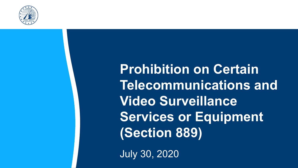

**Prohibition on Certain Telecommunications and Video Surveillance Services or Equipment (Section 889)**

July 30, 2020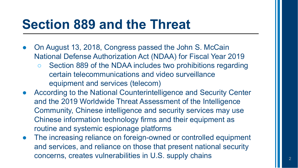#### **Section 889 and the Threat**

- On August 13, 2018, Congress passed the John S. McCain National Defense Authorization Act (NDAA) for Fiscal Year 2019
	- Section 889 of the NDAA includes two prohibitions regarding certain telecommunications and video surveillance equipment and services (telecom)
- According to the National Counterintelligence and Security Center and the 2019 Worldwide Threat Assessment of the Intelligence Community, Chinese intelligence and security services may use Chinese information technology firms and their equipment as routine and systemic espionage platforms
- The increasing reliance on foreign-owned or controlled equipment and services, and reliance on those that present national security concerns, creates vulnerabilities in U.S. supply chains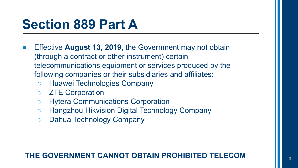### **Section 889 Part A**

- Effective **August 13, 2019**, the Government may not obtain (through a contract or other instrument) certain telecommunications equipment or services produced by the following companies or their subsidiaries and affiliates:
	- Huawei Technologies Company
	- ZTE Corporation
	- Hytera Communications Corporation
	- Hangzhou Hikvision Digital Technology Company
	- Dahua Technology Company

#### **THE GOVERNMENT CANNOT OBTAIN PROHIBITED TELECOM**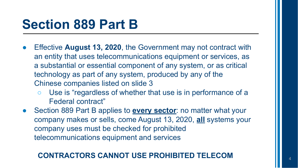### **Section 889 Part B**

- Effective **August 13, 2020**, the Government may not contract with an entity that uses telecommunications equipment or services, as a substantial or essential component of any system, or as critical technology as part of any system, produced by any of the Chinese companies listed on slide 3
	- Use is "regardless of whether that use is in performance of a Federal contract"
- Section 889 Part B applies to **every sector**: no matter what your company makes or sells, come August 13, 2020, **all** systems your company uses must be checked for prohibited telecommunications equipment and services

#### **CONTRACTORS CANNOT USE PROHIBITED TELECOM**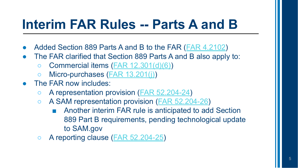## **Interim FAR Rules -- Parts A and B**

- Added Section 889 Parts A and B to the FAR ([FAR 4.2102](https://www.acquisition.gov/content/part-4-administrative-and-information-matters#id1989G0M30N0))
- The FAR clarified that Section 889 Parts A and B also apply to:
	- $\circ$  Commercial items ([FAR 12.301\(d\)\(6\)\)](https://www.acquisition.gov/content/part-12-acquisition-commercial-items#i1113145)
	- Micro-purchases ([FAR 13.201\(j\)](https://www.acquisition.gov/content/part-13-simplified-acquisition-procedures#i1111870))
- The FAR now includes:
	- A representation provision ([FAR 52.204-24](https://www.acquisition.gov/content/part-52-solicitation-provisions-and-contract-clauses#id1989I600I4C))
	- A SAM representation provision ([FAR 52.204-26](https://www.acquisition.gov/content/part-52-solicitation-provisions-and-contract-clauses#id19CAC0P0ESS))
		- Another interim FAR rule is anticipated to add Section 889 Part B requirements, pending technological update to SAM.gov
	- A reporting clause ([FAR 52.204-25](https://www.acquisition.gov/content/part-52-solicitation-provisions-and-contract-clauses#unique_2058868924))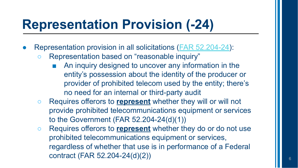# **Representation Provision (-24)**

- Representation provision in all solicitations ([FAR 52.204-24](https://www.acquisition.gov/content/part-52-solicitation-provisions-and-contract-clauses#id1989I600I4C)):
	- Representation based on "reasonable inquiry"
		- An inquiry designed to uncover any information in the entity's possession about the identity of the producer or provider of prohibited telecom used by the entity; there's no need for an internal or third-party audit
	- Requires offerors to **represent** whether they will or will not provide prohibited telecommunications equipment or services to the Government (FAR 52.204-24(d)(1))
	- Requires offerors to **represent** whether they do or do not use prohibited telecommunications equipment or services, regardless of whether that use is in performance of a Federal contract (FAR 52.204-24(d)(2))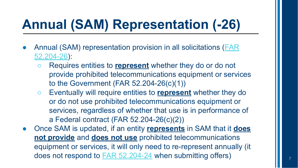# **Annual (SAM) Representation (-26)**

- Annual (SAM) representation provision in all solicitations ([FAR](https://www.acquisition.gov/content/part-52-solicitation-provisions-and-contract-clauses#id19CAC0P0ESS) [52.204-26\)](https://www.acquisition.gov/content/part-52-solicitation-provisions-and-contract-clauses#id19CAC0P0ESS):
	- Requires entities to **represent** whether they do or do not provide prohibited telecommunications equipment or services to the Government (FAR 52.204-26(c)(1))
	- Eventually will require entities to **represent** whether they do or do not use prohibited telecommunications equipment or services, regardless of whether that use is in performance of a Federal contract (FAR 52.204-26(c)(2))
- Once SAM is updated, if an entity **represents** in SAM that it **does not provide** and **does not use** prohibited telecommunications equipment or services, it will only need to re-represent annually (it does not respond to [FAR 52.204-24](https://www.acquisition.gov/content/part-52-solicitation-provisions-and-contract-clauses#id1989I600I4C) when submitting offers)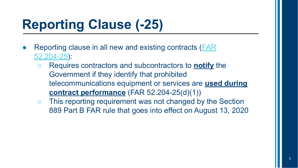# **Reporting Clause (-25)**

- Reporting clause in all new and existing contracts ([FAR](https://www.acquisition.gov/content/part-52-solicitation-provisions-and-contract-clauses#unique_2058868924) [52.204-25\)](https://www.acquisition.gov/content/part-52-solicitation-provisions-and-contract-clauses#unique_2058868924):
	- Requires contractors and subcontractors to **notify** the Government if they identify that prohibited telecommunications equipment or services are **used during contract performance** (FAR 52.204-25(d)(1))
	- This reporting requirement was not changed by the Section 889 Part B FAR rule that goes into effect on August 13, 2020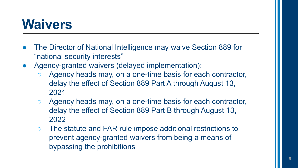#### **Waivers**

- The Director of National Intelligence may waive Section 889 for "national security interests"
- Agency-granted waivers (delayed implementation):
	- Agency heads may, on a one-time basis for each contractor, delay the effect of Section 889 Part A through August 13, 2021
	- Agency heads may, on a one-time basis for each contractor, delay the effect of Section 889 Part B through August 13, 2022
	- The statute and FAR rule impose additional restrictions to prevent agency-granted waivers from being a means of bypassing the prohibitions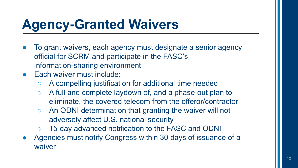# **Agency-Granted Waivers**

- To grant waivers, each agency must designate a senior agency official for SCRM and participate in the FASC's information-sharing environment
- **Each waiver must include:** 
	- A compelling justification for additional time needed
	- A full and complete laydown of, and a phase-out plan to eliminate, the covered telecom from the offeror/contractor
	- An ODNI determination that granting the waiver will not adversely affect U.S. national security
	- 15-day advanced notification to the FASC and ODNI
- Agencies must notify Congress within 30 days of issuance of a waiver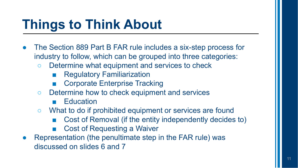# **Things to Think About**

- The Section 889 Part B FAR rule includes a six-step process for industry to follow, which can be grouped into three categories:
	- Determine what equipment and services to check
		- Regulatory Familiarization
		- **Corporate Enterprise Tracking**
	- Determine how to check equipment and services
		- Education
	- What to do if prohibited equipment or services are found
		- Cost of Removal (if the entity independently decides to)
		- Cost of Requesting a Waiver
- Representation (the penultimate step in the FAR rule) was discussed on slides 6 and 7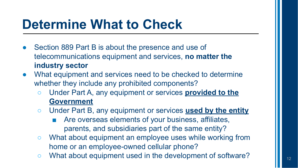## **Determine What to Check**

- Section 889 Part B is about the presence and use of telecommunications equipment and services, **no matter the industry sector**
- What equipment and services need to be checked to determine whether they include any prohibited components?
	- Under Part A, any equipment or services **provided to the Government**
	- Under Part B, any equipment or services **used by the entity**
		- Are overseas elements of your business, affiliates, parents, and subsidiaries part of the same entity?
	- What about equipment an employee uses while working from home or an employee-owned cellular phone?
	- What about equipment used in the development of software?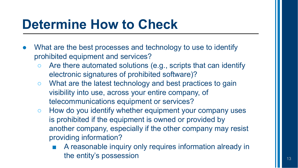## **Determine How to Check**

- What are the best processes and technology to use to identify prohibited equipment and services?
	- $\circ$  Are there automated solutions (e.g., scripts that can identify electronic signatures of prohibited software)?
	- What are the latest technology and best practices to gain visibility into use, across your entire company, of telecommunications equipment or services?
	- How do you identify whether equipment your company uses is prohibited if the equipment is owned or provided by another company, especially if the other company may resist providing information?
		- A reasonable inquiry only requires information already in the entity's possession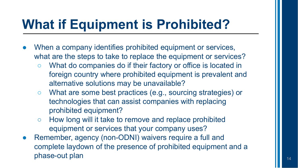# **What if Equipment is Prohibited?**

- When a company identifies prohibited equipment or services, what are the steps to take to replace the equipment or services?
	- What do companies do if their factory or office is located in foreign country where prohibited equipment is prevalent and alternative solutions may be unavailable?
	- What are some best practices (e.g., sourcing strategies) or technologies that can assist companies with replacing prohibited equipment?
	- How long will it take to remove and replace prohibited equipment or services that your company uses?
- Remember, agency (non-ODNI) waivers require a full and complete laydown of the presence of prohibited equipment and a phase-out plan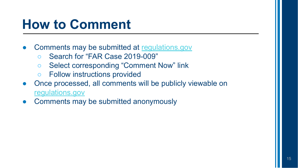## **How to Comment**

- Comments may be submitted at [regulations.gov](http://www.regulations.gov)
	- Search for "FAR Case 2019-009"
	- Select corresponding "Comment Now" link
	- Follow instructions provided
- Once processed, all comments will be publicly viewable on [regulations.gov](https://www.regulations.gov/)
- Comments may be submitted anonymously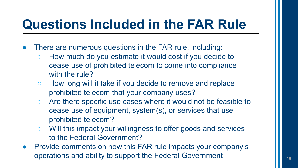## **Questions Included in the FAR Rule**

- There are numerous questions in the FAR rule, including:
	- How much do you estimate it would cost if you decide to cease use of prohibited telecom to come into compliance with the rule?
	- How long will it take if you decide to remove and replace prohibited telecom that your company uses?
	- Are there specific use cases where it would not be feasible to cease use of equipment, system(s), or services that use prohibited telecom?
	- Will this impact your willingness to offer goods and services to the Federal Government?
- Provide comments on how this FAR rule impacts your company's operations and ability to support the Federal Government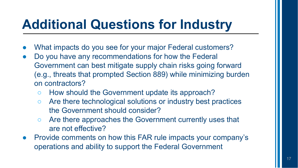# **Additional Questions for Industry**

- What impacts do you see for your major Federal customers?
- Do you have any recommendations for how the Federal Government can best mitigate supply chain risks going forward (e.g., threats that prompted Section 889) while minimizing burden on contractors?
	- How should the Government update its approach?
	- Are there technological solutions or industry best practices the Government should consider?
	- Are there approaches the Government currently uses that are not effective?
- Provide comments on how this FAR rule impacts your company's operations and ability to support the Federal Government